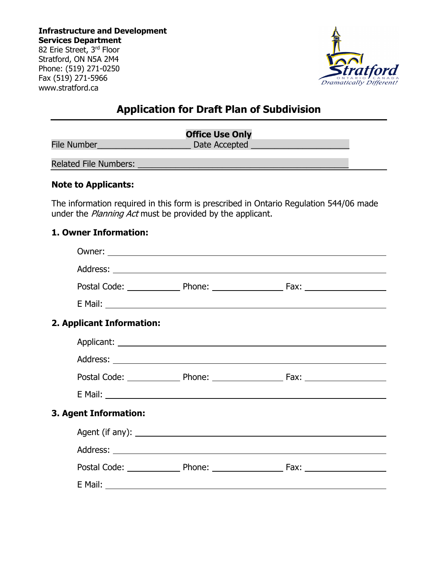**Infrastructure and Development Services Department** 82 Erie Street, 3rd Floor Stratford, ON N5A 2M4 Phone: (519) 271-0250 Fax (519) 271-5966

www.stratford.ca



# **Application for Draft Plan of Subdivision**

|                              | <b>Office Use Only</b> |
|------------------------------|------------------------|
| <b>File Number</b>           | Date Accepted          |
| <b>Related File Numbers:</b> |                        |

#### **Note to Applicants:**

The information required in this form is prescribed in Ontario Regulation 544/06 made under the *Planning Act* must be provided by the applicant.

#### **1. Owner Information:**

| Owner:                    |  |
|---------------------------|--|
|                           |  |
|                           |  |
|                           |  |
| 2. Applicant Information: |  |
|                           |  |
|                           |  |
|                           |  |
|                           |  |
| 3. Agent Information:     |  |
|                           |  |
|                           |  |
|                           |  |
|                           |  |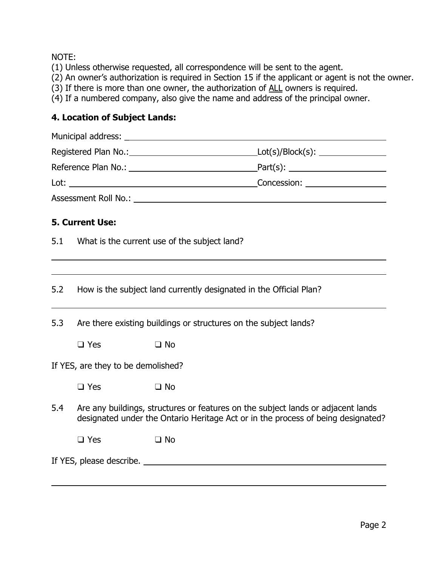#### NOTE:

 $\overline{a}$ 

- (1) Unless otherwise requested, all correspondence will be sent to the agent.
- (2) An owner's authorization is required in Section 15 if the applicant or agent is not the owner.
- (3) If there is more than one owner, the authorization of ALL owners is required.
- (4) If a numbered company, also give the name and address of the principal owner.

# **4. Location of Subject Lands:**

|     |                                                                                                                                                                      | Municipal address: University of the Municipal and the Municipal and the Municipal and the Municipal Australia |  |
|-----|----------------------------------------------------------------------------------------------------------------------------------------------------------------------|----------------------------------------------------------------------------------------------------------------|--|
|     |                                                                                                                                                                      |                                                                                                                |  |
|     |                                                                                                                                                                      |                                                                                                                |  |
|     |                                                                                                                                                                      |                                                                                                                |  |
|     |                                                                                                                                                                      |                                                                                                                |  |
|     | <b>5. Current Use:</b>                                                                                                                                               |                                                                                                                |  |
| 5.1 |                                                                                                                                                                      | What is the current use of the subject land?                                                                   |  |
|     |                                                                                                                                                                      |                                                                                                                |  |
| 5.2 | How is the subject land currently designated in the Official Plan?                                                                                                   |                                                                                                                |  |
| 5.3 |                                                                                                                                                                      | Are there existing buildings or structures on the subject lands?                                               |  |
|     | $\square$ Yes                                                                                                                                                        | $\Box$ No                                                                                                      |  |
|     | If YES, are they to be demolished?                                                                                                                                   |                                                                                                                |  |
|     | $\Box$ Yes                                                                                                                                                           | $\Box$ No                                                                                                      |  |
| 5.4 | Are any buildings, structures or features on the subject lands or adjacent lands<br>designated under the Ontario Heritage Act or in the process of being designated? |                                                                                                                |  |
|     | $\Box$ Yes                                                                                                                                                           | $\Box$ No                                                                                                      |  |
|     |                                                                                                                                                                      |                                                                                                                |  |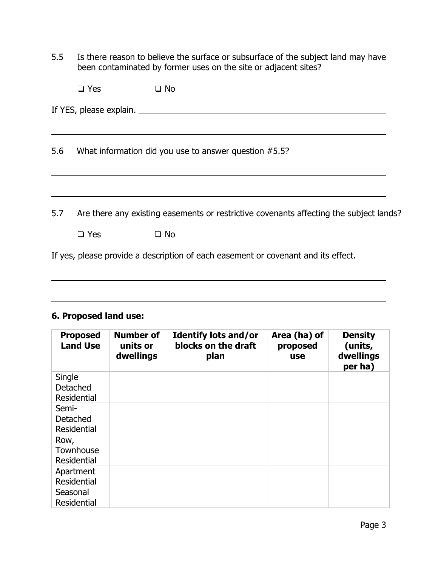| 5.5 | Is there reason to believe the surface or subsurface of the subject land may have |
|-----|-----------------------------------------------------------------------------------|
|     | been contaminated by former uses on the site or adjacent sites?                   |

|     | $\Box$ Yes              | $\square$ No                                                                           |
|-----|-------------------------|----------------------------------------------------------------------------------------|
|     | If YES, please explain. |                                                                                        |
| 5.6 |                         | What information did you use to answer question #5.5?                                  |
| 5.7 |                         | Are there any existing easements or restrictive covenants affecting the subject lands? |

If yes, please provide a description of each easement or covenant and its effect.

# **6. Proposed land use:**

❑ Yes ❑ No

| <b>Proposed</b><br><b>Land Use</b>       | <b>Number of</b><br>units or<br>dwellings | <b>Identify lots and/or</b><br>blocks on the draft<br>plan | Area (ha) of<br>proposed<br><b>use</b> | <b>Density</b><br>(units,<br>dwellings<br>per ha) |
|------------------------------------------|-------------------------------------------|------------------------------------------------------------|----------------------------------------|---------------------------------------------------|
| Single<br><b>Detached</b><br>Residential |                                           |                                                            |                                        |                                                   |
| Semi-<br><b>Detached</b><br>Residential  |                                           |                                                            |                                        |                                                   |
| Row,<br>Townhouse<br>Residential         |                                           |                                                            |                                        |                                                   |
| Apartment<br><b>Residential</b>          |                                           |                                                            |                                        |                                                   |
| Seasonal<br><b>Residential</b>           |                                           |                                                            |                                        |                                                   |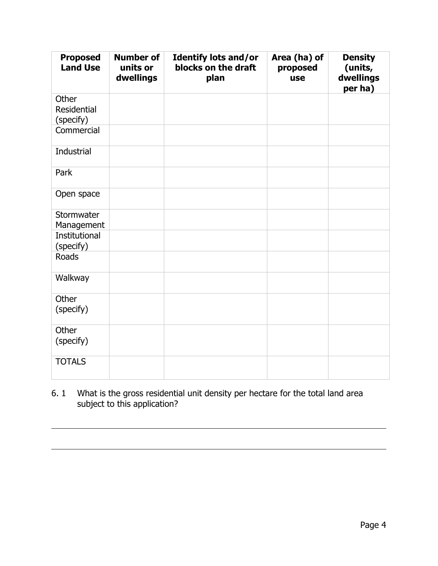| <b>Proposed</b><br><b>Land Use</b> | <b>Number of</b><br>units or<br>dwellings | <b>Identify lots and/or</b><br>blocks on the draft<br>plan | Area (ha) of<br>proposed<br>use | <b>Density</b><br>(units,<br>dwellings<br>per ha) |
|------------------------------------|-------------------------------------------|------------------------------------------------------------|---------------------------------|---------------------------------------------------|
| Other<br>Residential<br>(specify)  |                                           |                                                            |                                 |                                                   |
| Commercial                         |                                           |                                                            |                                 |                                                   |
| Industrial                         |                                           |                                                            |                                 |                                                   |
| Park                               |                                           |                                                            |                                 |                                                   |
| Open space                         |                                           |                                                            |                                 |                                                   |
| Stormwater<br>Management           |                                           |                                                            |                                 |                                                   |
| <b>Institutional</b><br>(specify)  |                                           |                                                            |                                 |                                                   |
| <b>Roads</b>                       |                                           |                                                            |                                 |                                                   |
| Walkway                            |                                           |                                                            |                                 |                                                   |
| Other<br>(specify)                 |                                           |                                                            |                                 |                                                   |
| Other<br>(specify)                 |                                           |                                                            |                                 |                                                   |
| <b>TOTALS</b>                      |                                           |                                                            |                                 |                                                   |

# 6. 1 What is the gross residential unit density per hectare for the total land area subject to this application?

 $\overline{a}$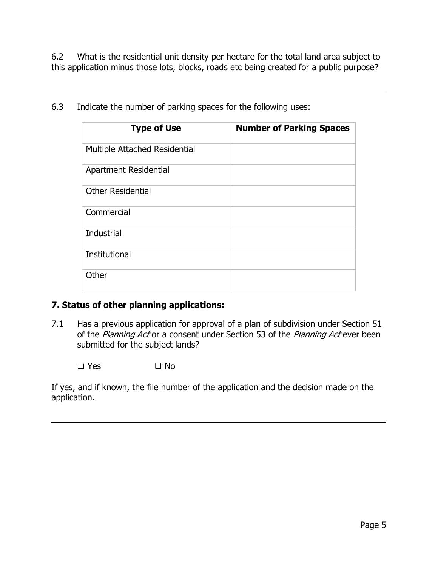6.2 What is the residential unit density per hectare for the total land area subject to this application minus those lots, blocks, roads etc being created for a public purpose?

| <b>Type of Use</b>            | <b>Number of Parking Spaces</b> |
|-------------------------------|---------------------------------|
| Multiple Attached Residential |                                 |
| Apartment Residential         |                                 |
| <b>Other Residential</b>      |                                 |
| Commercial                    |                                 |
| Industrial                    |                                 |
| <b>Institutional</b>          |                                 |
| Other                         |                                 |

6.3 Indicate the number of parking spaces for the following uses:

## **7. Status of other planning applications:**

l

l

7.1 Has a previous application for approval of a plan of subdivision under Section 51 of the Planning Act or a consent under Section 53 of the Planning Act ever been submitted for the subject lands?

❑ Yes ❑ No

If yes, and if known, the file number of the application and the decision made on the application.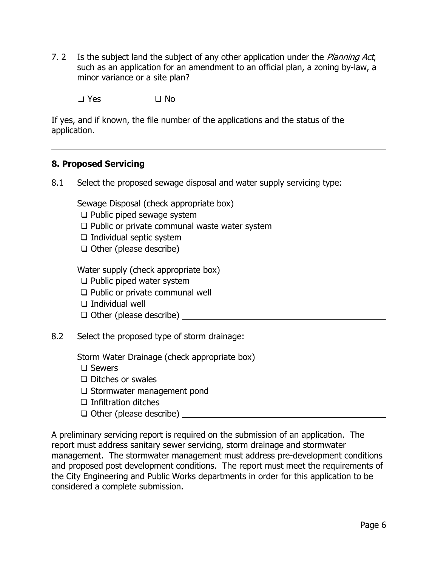7. 2 Is the subject land the subject of any other application under the Planning Act, such as an application for an amendment to an official plan, a zoning by-law, a minor variance or a site plan?

❑ Yes ❑ No

If yes, and if known, the file number of the applications and the status of the application.

# **8. Proposed Servicing**

l

8.1 Select the proposed sewage disposal and water supply servicing type:

Sewage Disposal (check appropriate box)

- ❑ Public piped sewage system
- ❑ Public or private communal waste water system
- ❑ Individual septic system
- ❑ Other (please describe)

Water supply (check appropriate box)

- ❑ Public piped water system
- ❑ Public or private communal well
- ❑ Individual well
- ❑ Other (please describe)
- 8.2 Select the proposed type of storm drainage:

Storm Water Drainage (check appropriate box)

- ❑ Sewers
- ❑ Ditches or swales
- ❑ Stormwater management pond
- ❑ Infiltration ditches
- ❑ Other (please describe)

A preliminary servicing report is required on the submission of an application. The report must address sanitary sewer servicing, storm drainage and stormwater management. The stormwater management must address pre-development conditions and proposed post development conditions. The report must meet the requirements of the City Engineering and Public Works departments in order for this application to be considered a complete submission.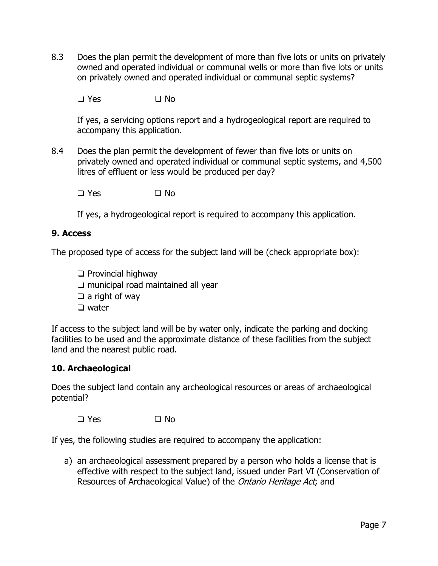8.3 Does the plan permit the development of more than five lots or units on privately owned and operated individual or communal wells or more than five lots or units on privately owned and operated individual or communal septic systems?

❑ Yes ❑ No

If yes, a servicing options report and a hydrogeological report are required to accompany this application.

8.4 Does the plan permit the development of fewer than five lots or units on privately owned and operated individual or communal septic systems, and 4,500 litres of effluent or less would be produced per day?

❑ Yes ❑ No

If yes, a hydrogeological report is required to accompany this application.

#### **9. Access**

The proposed type of access for the subject land will be (check appropriate box):

❑ Provincial highway

- ❑ municipal road maintained all year
- $\Box$  a right of way
- ❑ water

If access to the subject land will be by water only, indicate the parking and docking facilities to be used and the approximate distance of these facilities from the subject land and the nearest public road.

## **10. Archaeological**

Does the subject land contain any archeological resources or areas of archaeological potential?

❑ Yes ❑ No

If yes, the following studies are required to accompany the application:

a) an archaeological assessment prepared by a person who holds a license that is effective with respect to the subject land, issued under Part VI (Conservation of Resources of Archaeological Value) of the Ontario Heritage Act, and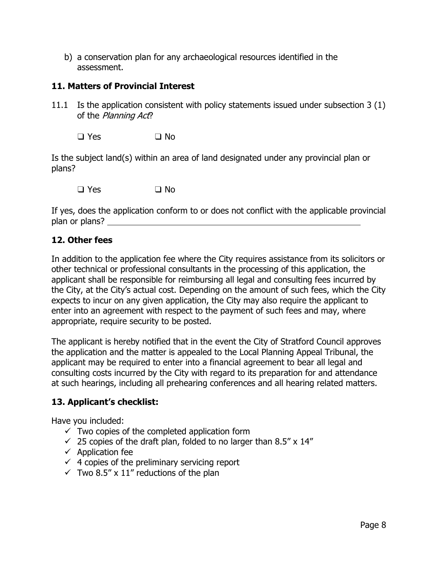b) a conservation plan for any archaeological resources identified in the assessment.

## **11. Matters of Provincial Interest**

- 11.1 Is the application consistent with policy statements issued under subsection 3 (1) of the Planning Act?
	- ❑ Yes ❑ No

Is the subject land(s) within an area of land designated under any provincial plan or plans?

❑ Yes ❑ No

If yes, does the application conform to or does not conflict with the applicable provincial plan or plans?

## **12. Other fees**

In addition to the application fee where the City requires assistance from its solicitors or other technical or professional consultants in the processing of this application, the applicant shall be responsible for reimbursing all legal and consulting fees incurred by the City, at the City's actual cost. Depending on the amount of such fees, which the City expects to incur on any given application, the City may also require the applicant to enter into an agreement with respect to the payment of such fees and may, where appropriate, require security to be posted.

The applicant is hereby notified that in the event the City of Stratford Council approves the application and the matter is appealed to the Local Planning Appeal Tribunal, the applicant may be required to enter into a financial agreement to bear all legal and consulting costs incurred by the City with regard to its preparation for and attendance at such hearings, including all prehearing conferences and all hearing related matters.

## **13. Applicant's checklist:**

Have you included:

- $\checkmark$  Two copies of the completed application form
- $\checkmark$  25 copies of the draft plan, folded to no larger than 8.5" x 14"
- $\checkmark$  Application fee
- $\checkmark$  4 copies of the preliminary servicing report
- $\checkmark$  Two 8.5" x 11" reductions of the plan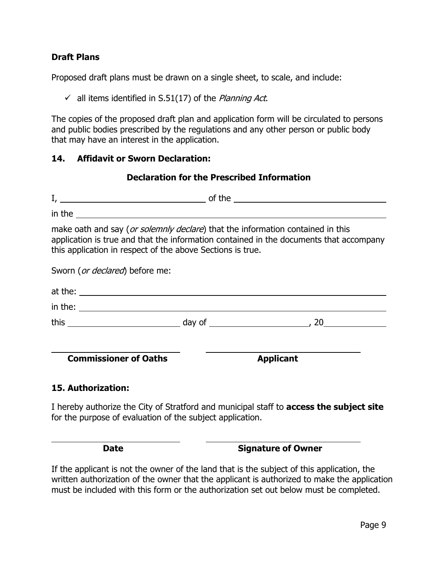# **Draft Plans**

Proposed draft plans must be drawn on a single sheet, to scale, and include:

 $\checkmark$  all items identified in S.51(17) of the Planning Act.

The copies of the proposed draft plan and application form will be circulated to persons and public bodies prescribed by the regulations and any other person or public body that may have an interest in the application.

## **14. Affidavit or Sworn Declaration:**

#### **Declaration for the Prescribed Information**

| in the $\frac{1}{2}$ in the $\frac{1}{2}$ in the $\frac{1}{2}$ in the $\frac{1}{2}$ in $\frac{1}{2}$ in $\frac{1}{2}$ in $\frac{1}{2}$ in $\frac{1}{2}$ in $\frac{1}{2}$ in $\frac{1}{2}$ in $\frac{1}{2}$ in $\frac{1}{2}$ in $\frac{1}{2}$ in $\frac{1}{2}$ in $\frac{1}{2}$ in $\frac{1}{2$ |                                                                                        |
|------------------------------------------------------------------------------------------------------------------------------------------------------------------------------------------------------------------------------------------------------------------------------------------------|----------------------------------------------------------------------------------------|
| make oath and say (or solemnly declare) that the information contained in this<br>this application in respect of the above Sections is true.                                                                                                                                                   | application is true and that the information contained in the documents that accompany |
| Sworn ( <i>or declared</i> ) before me:                                                                                                                                                                                                                                                        |                                                                                        |
|                                                                                                                                                                                                                                                                                                | at the: $\overline{\phantom{a}}$                                                       |
| in the: $\frac{1}{2}$ in the set of $\frac{1}{2}$ in the set of $\frac{1}{2}$ in the set of $\frac{1}{2}$ in the set of $\frac{1}{2}$ in the set of $\frac{1}{2}$ in the set of $\frac{1}{2}$ in the set of $\frac{1}{2}$ in the set of $\frac{1}{2}$ in the set                               |                                                                                        |
|                                                                                                                                                                                                                                                                                                |                                                                                        |
| <b>Commissioner of Oaths</b>                                                                                                                                                                                                                                                                   | <b>Applicant</b>                                                                       |
| <b>15. Authorization:</b>                                                                                                                                                                                                                                                                      |                                                                                        |

I hereby authorize the City of Stratford and municipal staff to **access the subject site** for the purpose of evaluation of the subject application.

 $\overline{a}$ 

**Date Signature of Owner** 

If the applicant is not the owner of the land that is the subject of this application, the written authorization of the owner that the applicant is authorized to make the application must be included with this form or the authorization set out below must be completed.